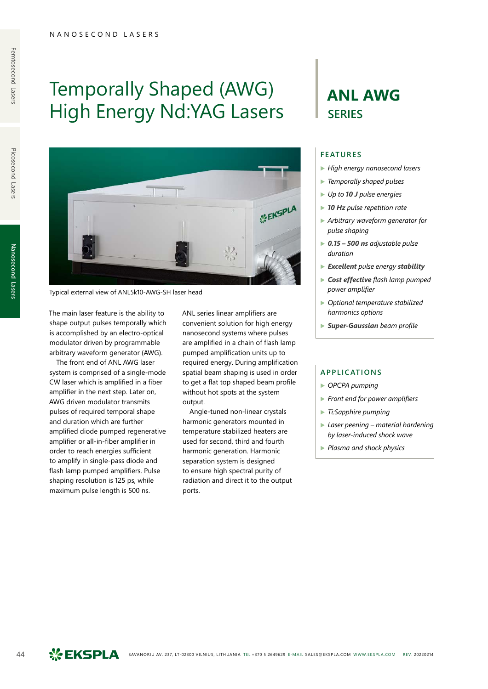# Temporally Shaped (AWG) High Energy Nd:YAG Lasers



Typical external view of ANL5k10-AWG-SH laser head

The main laser feature is the ability to shape output pulses temporally which is accomplished by an electro-optical modulator driven by programmable arbitrary waveform generator (AWG).

The front end of ANL AWG laser system is comprised of a single-mode CW laser which is amplified in a fiber amplifier in the next step. Later on, AWG driven modulator transmits pulses of required temporal shape and duration which are further amplified diode pumped regenerative amplifier or all-in-fiber amplifier in order to reach energies sufficient to amplify in single-pass diode and flash lamp pumped amplifiers. Pulse shaping resolution is 125 ps, while maximum pulse length is 500 ns.

ANL series linear amplifiers are convenient solution for high energy nanosecond systems where pulses are amplified in a chain of flash lamp pumped amplification units up to required energy. During amplification spatial beam shaping is used in order to get a flat top shaped beam profile without hot spots at the system output.

Angle-tuned non-linear crystals harmonic generators mounted in temperature stabilized heaters are used for second, third and fourth harmonic generation. Harmonic separation system is designed to ensure high spectral purity of radiation and direct it to the output ports.

## **ANL AWG SERIES**

### **FEATURES**

- ▶ *High energy nanosecond lasers*
- ▶ *Temporally shaped pulses*
- ▶ *Up to 10 J pulse energies*
- ▶ *10 Hz pulse repetition rate*
- ▶ *Arbitrary waveform generator for pulse shaping*
- ▶ *0.15 500 ns adjustable pulse duration*
- ▶ *Excellent pulse energy stability*
- ▶ *Cost effective flash lamp pumped power amplifier*
- ▶ *Optional temperature stabilized harmonics options*
- ▶ *Super-Gaussian beam profile*

#### **APPLICATIONS**

- ▶ *OPCPA pumping*
- ▶ *Front end for power amplifiers*
- ▶ *Ti:Sapphire pumping*
- ▶ *Laser peening material hardening by laser-induced shock wave*
- ▶ *Plasma and shock physics*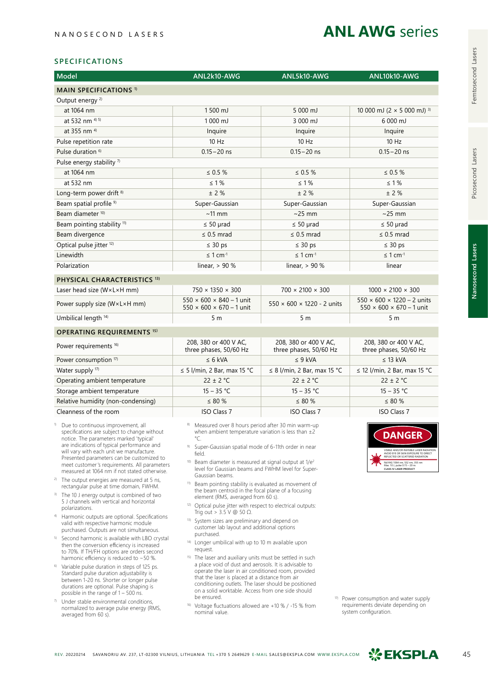## **ANL AWG** series

#### **SPECIFICATIONS**

| Model                                   | ANL2k10-AWG                                                                  | ANL5k10-AWG                                     | ANL10k10-AWG                                                                   |
|-----------------------------------------|------------------------------------------------------------------------------|-------------------------------------------------|--------------------------------------------------------------------------------|
| <b>MAIN SPECIFICATIONS 1)</b>           |                                                                              |                                                 |                                                                                |
| Output energy <sup>2)</sup>             |                                                                              |                                                 |                                                                                |
| at 1064 nm                              | 1500 mJ                                                                      | 5 000 mJ                                        | 10 000 mJ (2 $\times$ 5 000 mJ) <sup>3)</sup>                                  |
| at 532 nm <sup>4) 5)</sup>              | 1000 mJ                                                                      | 3 000 mJ                                        | 6 000 mJ                                                                       |
| at 355 nm <sup>4)</sup>                 | Inquire                                                                      | Inquire                                         | Inquire                                                                        |
| Pulse repetition rate                   | $10$ Hz                                                                      | $10$ Hz                                         | $10$ Hz                                                                        |
| Pulse duration <sup>6)</sup>            | $0.15 - 20$ ns                                                               | $0.15 - 20$ ns                                  | $0.15 - 20$ ns                                                                 |
| Pulse energy stability <sup>7)</sup>    |                                                                              |                                                 |                                                                                |
| at 1064 nm                              | $\leq 0.5 \%$                                                                | $\leq 0.5 \%$                                   | $\leq 0.5 \%$                                                                  |
| at 532 nm                               | $\leq 1\%$                                                                   | $\leq 1\%$                                      | $\leq 1\%$                                                                     |
| Long-term power drift <sup>8)</sup>     | $±$ 2 %                                                                      | ± 2%                                            | $±$ 2 %                                                                        |
| Beam spatial profile <sup>9)</sup>      | Super-Gaussian                                                               | Super-Gaussian                                  | Super-Gaussian                                                                 |
| Beam diameter <sup>10)</sup>            | $~11$ mm                                                                     | $\sim$ 25 mm                                    | $\sim$ 25 mm                                                                   |
| Beam pointing stability <sup>11)</sup>  | $\leq 50$ µrad                                                               | $\leq 50$ µrad                                  | $\leq 50$ µrad                                                                 |
| Beam divergence                         | $\leq$ 0.5 mrad                                                              | $\leq$ 0.5 mrad                                 | $\leq$ 0.5 mrad                                                                |
| Optical pulse jitter <sup>12)</sup>     | $\leq 30$ ps                                                                 | $\leq 30$ ps                                    | $\leq 30$ ps                                                                   |
| Linewidth                               | $\leq 1$ cm <sup>-1</sup>                                                    | $\leq$ 1 cm <sup>-1</sup>                       | $\leq 1$ cm <sup>-1</sup>                                                      |
| Polarization                            | linear, $> 90%$                                                              | linear, $> 90%$                                 | linear                                                                         |
| PHYSICAL CHARACTERISTICS <sup>13)</sup> |                                                                              |                                                 |                                                                                |
| Laser head size (W×L×H mm)              | $750 \times 1350 \times 300$                                                 | $700 \times 2100 \times 300$                    | $1000 \times 2100 \times 300$                                                  |
| Power supply size (W×L×H mm)            | $550 \times 600 \times 840 - 1$ unit<br>$550 \times 600 \times 670 - 1$ unit | $550 \times 600 \times 1220 - 2$ units          | $550 \times 600 \times 1220 - 2$ units<br>$550 \times 600 \times 670 - 1$ unit |
| Umbilical length <sup>14)</sup>         | 5 <sub>m</sub>                                                               | 5 <sub>m</sub>                                  | 5 <sub>m</sub>                                                                 |
| <b>OPERATING REQUIREMENTS 15)</b>       |                                                                              |                                                 |                                                                                |
| Power requirements <sup>16)</sup>       | 208, 380 or 400 V AC,<br>three phases, 50/60 Hz                              | 208, 380 or 400 V AC,<br>three phases, 50/60 Hz | 208, 380 or 400 V AC,<br>three phases, 50/60 Hz                                |
| Power consumption 17)                   | $\leq 6$ kVA                                                                 | $\leq$ 9 kVA                                    | $\leq$ 13 kVA                                                                  |
| Water supply <sup>17)</sup>             | $\leq$ 5 l/min, 2 Bar, max 15 °C                                             | $\leq$ 8 l/min, 2 Bar, max 15 °C                | $\leq$ 12 l/min, 2 Bar, max 15 °C                                              |
| Operating ambient temperature           | $22 \pm 2$ °C                                                                | $22 \pm 2$ °C                                   | $22 \pm 2$ °C                                                                  |
| Storage ambient temperature             | $15 - 35 °C$                                                                 | $15 - 35 °C$                                    | $15 - 35 °C$                                                                   |
| Relative humidity (non-condensing)      | $\leq 80 \%$                                                                 | $\leq 80 \%$                                    | $\leq 80 \%$                                                                   |
| Cleanness of the room                   | <b>ISO Class 7</b>                                                           | <b>ISO Class 7</b>                              | <b>ISO Class 7</b>                                                             |

- Due to continuous improvement, all specifications are subject to change without notice. The parameters marked 'typical' are indications of typical performance and will vary with each unit we manufacture. Presented parameters can be customized to meet customer's requirements. All parameters measured at 1064 nm if not stated otherwise.
- <sup>2)</sup> The output energies are measured at 5 ns, rectangular pulse at time domain, FWHM.
- 3) The 10 J energy output is combined of two 5 J channels with vertical and horizontal polarizations.
- 4) Harmonic outputs are optional. Specifications valid with respective harmonic module purchased. Outputs are not simultaneous.
- 5) Second harmonic is available with LBO crystal then the conversion efficiency is increased to 70%. If TH/FH options are orders second harmonic efficiency is reduced to ~50 %.
- 6) Variable pulse duration in steps of 125 ps. Standard pulse duration adjustability is between 1-20 ns. Shorter or longer pulse durations are optional. Pulse shaping is possible in the range of 1 – 500 ns.
- $\sqrt{7}$  Under stable environmental conditions, normalized to average pulse energy (RMS, averaged from 60 s).
- 8) Measured over 8 hours period after 30 min warm-up when ambient temperature variation is less than  $\pm 2$ °C.
- 9) Super-Gaussian spatial mode of 6-11th order in near field.
- 10) Beam diameter is measured at signal output at  $1/e^2$ level for Gaussian beams and FWHM level for Super-Gaussian beams.
- 11) Beam pointing stability is evaluated as movement of the beam centroid in the focal plane of a focusing element (RMS, averaged from 60 s).
- <sup>12)</sup> Optical pulse jitter with respect to electrical outputs: Trig out  $> 3.5$  V  $\textcircled{0}$  50  $\Omega$ .
- 13) System sizes are preliminary and depend on customer lab layout and additional options purchased.
- 14) Longer umbilical with up to 10 m available upon request.
- 15) The laser and auxiliary units must be settled in such a place void of dust and aerosols. It is advisable to operate the laser in air conditioned room, provided that the laser is placed at a distance from air conditioning outlets. The laser should be positioned on a solid worktable. Access from one side should be ensured.
- 16) Voltage fluctuations allowed are +10 % / -15 % from nominal value.



<sup>17)</sup> Power consumption and water supply requirements deviate depending on system configuration.

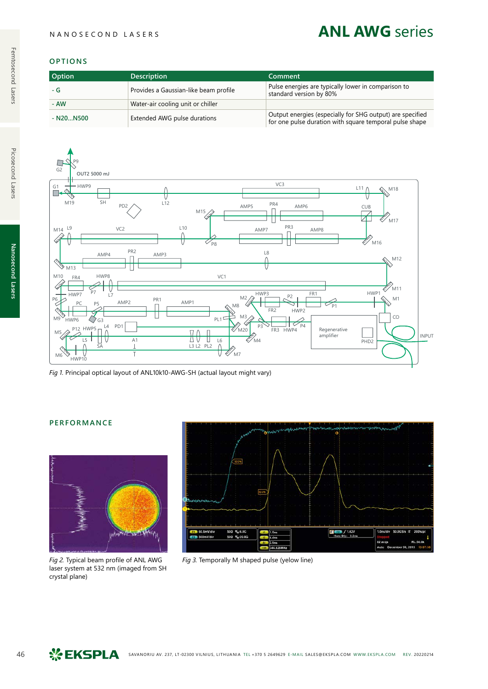## **ANL AWG** series

## **OPTIONS**

| <b>Option</b> | <b>Description</b>                    | Comment                                                                                                              |
|---------------|---------------------------------------|----------------------------------------------------------------------------------------------------------------------|
| - G           | Provides a Gaussian-like beam profile | Pulse energies are typically lower in comparison to<br>standard version by 80%                                       |
| - AW          | Water-air cooling unit or chiller     |                                                                                                                      |
| $- N20N500$   | Extended AWG pulse durations          | Output energies (especially for SHG output) are specified<br>for one pulse duration with square temporal pulse shape |



*Fig 1.* Principal optical layout of ANL10k10-AWG-SH (actual layout might vary)

## **PERFORMANCE**



laser system at 532 nm (imaged from SH crystal plane)



*Fig 2.* Typical beam profile of ANL AWG *Fig 3.* Temporally M shaped pulse (yelow line)